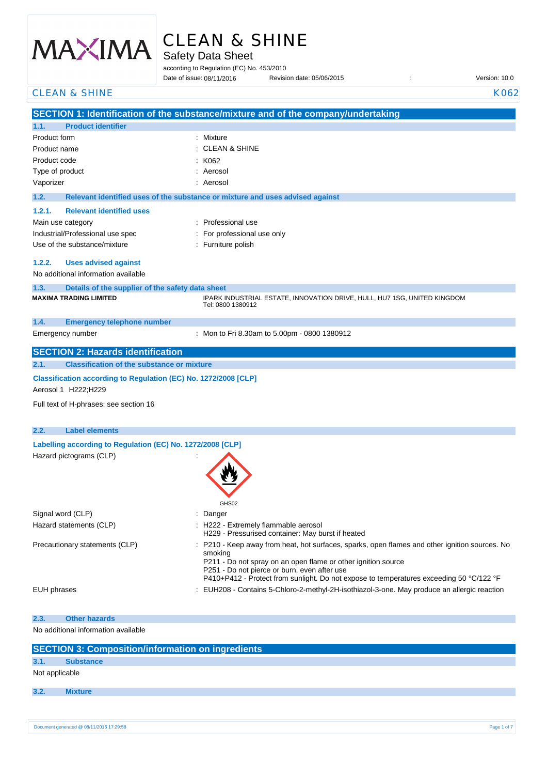

# CLEAN & SHINE

Safety Data Sheet

according to Regulation (EC) No. 453/2010

Date of issue: Revision date: 05/06/2015 : Version: 10.0 Date of issue: 08/11/2016

| <b>CLEAN &amp; SHINE</b>                                                                  | K062                                                                                           |
|-------------------------------------------------------------------------------------------|------------------------------------------------------------------------------------------------|
|                                                                                           | SECTION 1: Identification of the substance/mixture and of the company/undertaking              |
| <b>Product identifier</b><br>1.1.                                                         |                                                                                                |
| Product form                                                                              | Mixture                                                                                        |
| Product name                                                                              | <b>CLEAN &amp; SHINE</b>                                                                       |
| Product code                                                                              | K062                                                                                           |
| Type of product                                                                           | Aerosol                                                                                        |
| Vaporizer                                                                                 | Aerosol                                                                                        |
| 1.2.                                                                                      |                                                                                                |
|                                                                                           | Relevant identified uses of the substance or mixture and uses advised against                  |
| 1.2.1.<br><b>Relevant identified uses</b>                                                 |                                                                                                |
| Main use category                                                                         | : Professional use                                                                             |
| Industrial/Professional use spec                                                          | For professional use only                                                                      |
| Use of the substance/mixture                                                              | : Furniture polish                                                                             |
| <b>Uses advised against</b><br>1.2.2.                                                     |                                                                                                |
| No additional information available                                                       |                                                                                                |
|                                                                                           |                                                                                                |
| 1.3.<br>Details of the supplier of the safety data sheet<br><b>MAXIMA TRADING LIMITED</b> | IPARK INDUSTRIAL ESTATE, INNOVATION DRIVE, HULL, HU7 1SG, UNITED KINGDOM                       |
|                                                                                           | Tel: 0800 1380912                                                                              |
| 1.4.<br><b>Emergency telephone number</b>                                                 |                                                                                                |
| Emergency number                                                                          | : Mon to Fri 8.30am to 5.00pm - 0800 1380912                                                   |
|                                                                                           |                                                                                                |
| <b>SECTION 2: Hazards identification</b>                                                  |                                                                                                |
| 2.1.<br><b>Classification of the substance or mixture</b>                                 |                                                                                                |
| Classification according to Regulation (EC) No. 1272/2008 [CLP]                           |                                                                                                |
| Aerosol 1 H222;H229                                                                       |                                                                                                |
|                                                                                           |                                                                                                |
| Full text of H-phrases: see section 16                                                    |                                                                                                |
| <b>Label elements</b>                                                                     |                                                                                                |
| 2.2.                                                                                      |                                                                                                |
| Labelling according to Regulation (EC) No. 1272/2008 [CLP]                                |                                                                                                |
| Hazard pictograms (CLP)                                                                   |                                                                                                |
|                                                                                           |                                                                                                |
|                                                                                           |                                                                                                |
|                                                                                           |                                                                                                |
|                                                                                           | GHS02                                                                                          |
| Signal word (CLP)                                                                         | Danger                                                                                         |
| Hazard statements (CLP)                                                                   | H222 - Extremely flammable aerosol                                                             |
|                                                                                           | H229 - Pressurised container: May burst if heated                                              |
| Precautionary statements (CLP)                                                            | : P210 - Keep away from heat, hot surfaces, sparks, open flames and other ignition sources. No |
|                                                                                           | smoking<br>P211 - Do not spray on an open flame or other ignition source                       |
|                                                                                           | P251 - Do not pierce or burn, even after use                                                   |
|                                                                                           | P410+P412 - Protect from sunlight. Do not expose to temperatures exceeding 50 °C/122 °F        |
| EUH phrases                                                                               | : EUH208 - Contains 5-Chloro-2-methyl-2H-isothiazol-3-one. May produce an allergic reaction    |
|                                                                                           |                                                                                                |
| <b>Other hazards</b><br>2.3.                                                              |                                                                                                |
| No additional information available                                                       |                                                                                                |
|                                                                                           |                                                                                                |
| <b>SECTION 3: Composition/information on ingredients</b>                                  |                                                                                                |
| <b>Substance</b><br>3.1.                                                                  |                                                                                                |
| Not applicable                                                                            |                                                                                                |
|                                                                                           |                                                                                                |
| 3.2.<br><b>Mixture</b>                                                                    |                                                                                                |
|                                                                                           |                                                                                                |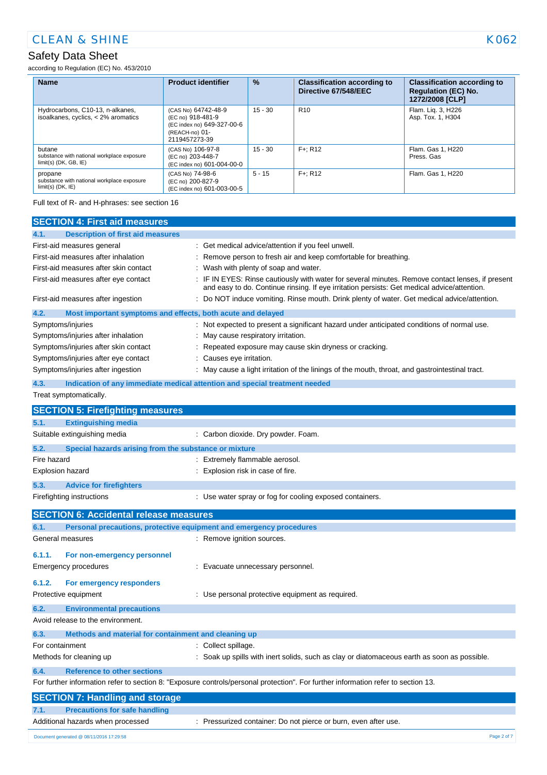# Safety Data Sheet

according to Regulation (EC) No. 453/2010

| <b>Name</b>                                                                     | <b>Product identifier</b>                                                                                 | $\frac{9}{6}$ | <b>Classification according to</b><br>Directive 67/548/EEC | <b>Classification according to</b><br><b>Regulation (EC) No.</b><br>1272/2008 [CLP] |
|---------------------------------------------------------------------------------|-----------------------------------------------------------------------------------------------------------|---------------|------------------------------------------------------------|-------------------------------------------------------------------------------------|
| Hydrocarbons, C10-13, n-alkanes,<br>isoalkanes, cyclics, < 2% aromatics         | (CAS No) 64742-48-9<br>(EC no) 918-481-9<br>(EC index no) 649-327-00-6<br>(REACH-no) 01-<br>2119457273-39 | $15 - 30$     | R <sub>10</sub>                                            | Flam. Lig. 3, H226<br>Asp. Tox. 1, H304                                             |
| butane<br>substance with national workplace exposure<br>$limit(s)$ (DK, GB, IE) | (CAS No) 106-97-8<br>(EC no) 203-448-7<br>(EC index no) 601-004-00-0                                      | $15 - 30$     | $F +: R12$                                                 | Flam, Gas 1, H220<br>Press, Gas                                                     |
| propane<br>substance with national workplace exposure<br>$limit(s)$ (DK, $IE$ ) | (CAS No) 74-98-6<br>(EC no) 200-827-9<br>(EC index no) 601-003-00-5                                       | $5 - 15$      | $F +: R12$                                                 | Flam, Gas 1, H220                                                                   |

Full text of R- and H-phrases: see section 16

| <b>SECTION 4: First aid measures</b>                                                                                                                                                                                                                       |                                                                                                                                                                                                                                                                                                                                                                                                 |  |
|------------------------------------------------------------------------------------------------------------------------------------------------------------------------------------------------------------------------------------------------------------|-------------------------------------------------------------------------------------------------------------------------------------------------------------------------------------------------------------------------------------------------------------------------------------------------------------------------------------------------------------------------------------------------|--|
| 4.1.<br><b>Description of first aid measures</b>                                                                                                                                                                                                           |                                                                                                                                                                                                                                                                                                                                                                                                 |  |
| First-aid measures general<br>First-aid measures after inhalation<br>First-aid measures after skin contact<br>First-aid measures after eye contact                                                                                                         | : Get medical advice/attention if you feel unwell.<br>Remove person to fresh air and keep comfortable for breathing.<br>Wash with plenty of soap and water.<br>IF IN EYES: Rinse cautiously with water for several minutes. Remove contact lenses, if present<br>and easy to do. Continue rinsing. If eye irritation persists: Get medical advice/attention.                                    |  |
| First-aid measures after ingestion                                                                                                                                                                                                                         | : Do NOT induce vomiting. Rinse mouth. Drink plenty of water. Get medical advice/attention.                                                                                                                                                                                                                                                                                                     |  |
| 4.2.<br>Most important symptoms and effects, both acute and delayed<br>Symptoms/injuries<br>Symptoms/injuries after inhalation<br>Symptoms/injuries after skin contact<br>Symptoms/injuries after eye contact<br>Symptoms/injuries after ingestion<br>4.3. | Not expected to present a significant hazard under anticipated conditions of normal use.<br>May cause respiratory irritation.<br>Repeated exposure may cause skin dryness or cracking.<br>Causes eye irritation.<br>May cause a light irritation of the linings of the mouth, throat, and gastrointestinal tract.<br>Indication of any immediate medical attention and special treatment needed |  |
| Treat symptomatically.                                                                                                                                                                                                                                     |                                                                                                                                                                                                                                                                                                                                                                                                 |  |
| <b>SECTION 5: Firefighting measures</b>                                                                                                                                                                                                                    |                                                                                                                                                                                                                                                                                                                                                                                                 |  |
| <b>Extinguishing media</b><br>5.1.                                                                                                                                                                                                                         |                                                                                                                                                                                                                                                                                                                                                                                                 |  |
| Suitable extinguishing media                                                                                                                                                                                                                               | : Carbon dioxide. Dry powder. Foam.                                                                                                                                                                                                                                                                                                                                                             |  |
| 5.2.<br>Special hazards arising from the substance or mixture                                                                                                                                                                                              |                                                                                                                                                                                                                                                                                                                                                                                                 |  |
| Fire hazard                                                                                                                                                                                                                                                | Extremely flammable aerosol.                                                                                                                                                                                                                                                                                                                                                                    |  |
| Explosion hazard                                                                                                                                                                                                                                           | Explosion risk in case of fire.                                                                                                                                                                                                                                                                                                                                                                 |  |
| 5.3.<br><b>Advice for firefighters</b>                                                                                                                                                                                                                     |                                                                                                                                                                                                                                                                                                                                                                                                 |  |
| Firefighting instructions                                                                                                                                                                                                                                  | : Use water spray or fog for cooling exposed containers.                                                                                                                                                                                                                                                                                                                                        |  |
| <b>SECTION 6: Accidental release measures</b>                                                                                                                                                                                                              |                                                                                                                                                                                                                                                                                                                                                                                                 |  |
| Personal precautions, protective equipment and emergency procedures<br>6.1.                                                                                                                                                                                |                                                                                                                                                                                                                                                                                                                                                                                                 |  |
| General measures                                                                                                                                                                                                                                           | : Remove ignition sources.                                                                                                                                                                                                                                                                                                                                                                      |  |
| 6.1.1.<br>For non-emergency personnel<br><b>Emergency procedures</b>                                                                                                                                                                                       | : Evacuate unnecessary personnel.                                                                                                                                                                                                                                                                                                                                                               |  |
| 6.1.2.<br>For emergency responders<br>Protective equipment                                                                                                                                                                                                 | : Use personal protective equipment as required.                                                                                                                                                                                                                                                                                                                                                |  |
| 6.2.<br><b>Environmental precautions</b>                                                                                                                                                                                                                   |                                                                                                                                                                                                                                                                                                                                                                                                 |  |
| Avoid release to the environment.                                                                                                                                                                                                                          |                                                                                                                                                                                                                                                                                                                                                                                                 |  |
| Methods and material for containment and cleaning up<br>6.3.                                                                                                                                                                                               |                                                                                                                                                                                                                                                                                                                                                                                                 |  |
| : Collect spillage.<br>For containment                                                                                                                                                                                                                     |                                                                                                                                                                                                                                                                                                                                                                                                 |  |
| Methods for cleaning up                                                                                                                                                                                                                                    | Soak up spills with inert solids, such as clay or diatomaceous earth as soon as possible.                                                                                                                                                                                                                                                                                                       |  |
| <b>Reference to other sections</b><br>6.4.                                                                                                                                                                                                                 |                                                                                                                                                                                                                                                                                                                                                                                                 |  |
|                                                                                                                                                                                                                                                            | For further information refer to section 8: "Exposure controls/personal protection". For further information refer to section 13.                                                                                                                                                                                                                                                               |  |
| <b>SECTION 7: Handling and storage</b>                                                                                                                                                                                                                     |                                                                                                                                                                                                                                                                                                                                                                                                 |  |

#### **7.1. Precautions for safe handling** Additional hazards when processed : Pressurized container: Do not pierce or burn, even after use.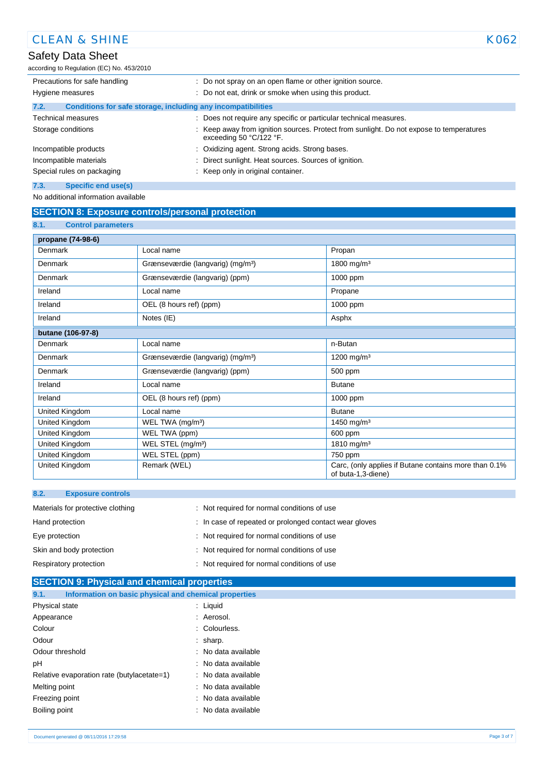# Safety Data Sheet

according to Regulation (EC) No. 453/2010

| Precautions for safe handling                                        | : Do not spray on an open flame or other ignition source.                                                            |  |
|----------------------------------------------------------------------|----------------------------------------------------------------------------------------------------------------------|--|
| Hygiene measures                                                     | : Do not eat, drink or smoke when using this product.                                                                |  |
| Conditions for safe storage, including any incompatibilities<br>7.2. |                                                                                                                      |  |
| <b>Technical measures</b>                                            | : Does not require any specific or particular technical measures.                                                    |  |
| Storage conditions                                                   | : Keep away from ignition sources. Protect from sunlight. Do not expose to temperatures<br>exceeding 50 $°C/122$ °F. |  |
| Incompatible products                                                | : Oxidizing agent. Strong acids. Strong bases.                                                                       |  |
| Incompatible materials                                               | Direct sunlight. Heat sources. Sources of ignition.<br>t.                                                            |  |
| Special rules on packaging                                           | : Keep only in original container.                                                                                   |  |
| 7.3.<br><b>Specific end use(s)</b>                                   |                                                                                                                      |  |

No additional information available

## **SECTION 8: Exposure controls/personal protection**

| 8.1.<br><b>Control parameters</b> |                                               |                                                                             |
|-----------------------------------|-----------------------------------------------|-----------------------------------------------------------------------------|
| propane (74-98-6)                 |                                               |                                                                             |
| Denmark                           | Local name                                    | Propan                                                                      |
| Denmark                           | Grænseværdie (langvarig) (mg/m <sup>3</sup> ) | 1800 mg/m <sup>3</sup>                                                      |
| Denmark                           | Grænseværdie (langvarig) (ppm)                | 1000 ppm                                                                    |
| Ireland                           | Local name                                    | Propane                                                                     |
| Ireland                           | OEL (8 hours ref) (ppm)                       | 1000 ppm                                                                    |
| Ireland                           | Notes (IE)                                    | Asphx                                                                       |
| butane (106-97-8)                 |                                               |                                                                             |
| Denmark                           | Local name                                    | n-Butan                                                                     |
| Denmark                           | Grænseværdie (langvarig) (mg/m <sup>3</sup> ) | 1200 mg/m <sup>3</sup>                                                      |
| Denmark                           | Grænseværdie (langvarig) (ppm)                | 500 ppm                                                                     |
| Ireland                           | Local name                                    | <b>Butane</b>                                                               |
| Ireland                           | OEL (8 hours ref) (ppm)                       | 1000 ppm                                                                    |
| United Kingdom                    | Local name                                    | <b>Butane</b>                                                               |
| United Kingdom                    | WEL TWA (mg/m <sup>3</sup> )                  | 1450 mg/m <sup>3</sup>                                                      |
| United Kingdom                    | WEL TWA (ppm)                                 | 600 ppm                                                                     |
| United Kingdom                    | WEL STEL (mg/m <sup>3</sup> )                 | 1810 mg/m <sup>3</sup>                                                      |
| United Kingdom                    | WEL STEL (ppm)                                | 750 ppm                                                                     |
| United Kingdom                    | Remark (WEL)                                  | Carc, (only applies if Butane contains more than 0.1%<br>of buta-1,3-diene) |

| 8.2.<br><b>Exposure controls</b>  |                                                        |
|-----------------------------------|--------------------------------------------------------|
| Materials for protective clothing | : Not required for normal conditions of use            |
| Hand protection                   | : In case of repeated or prolonged contact wear gloves |
| Eye protection                    | : Not required for normal conditions of use            |
| Skin and body protection          | : Not required for normal conditions of use            |
| Respiratory protection            | : Not required for normal conditions of use            |

| <b>SECTION 9: Physical and chemical properties</b>            |                     |  |  |  |
|---------------------------------------------------------------|---------------------|--|--|--|
| 9.1.<br>Information on basic physical and chemical properties |                     |  |  |  |
| Physical state                                                | $:$ Liquid          |  |  |  |
| Appearance                                                    | : Aerosol.          |  |  |  |
| Colour                                                        | : Colourless.       |  |  |  |
| Odour                                                         | $:$ sharp.          |  |  |  |
| Odour threshold                                               | : No data available |  |  |  |
| pH                                                            | : No data available |  |  |  |
| Relative evaporation rate (butylacetate=1)                    | : No data available |  |  |  |
| Melting point                                                 | : No data available |  |  |  |
| Freezing point                                                | : No data available |  |  |  |
| Boiling point                                                 | : No data available |  |  |  |
|                                                               |                     |  |  |  |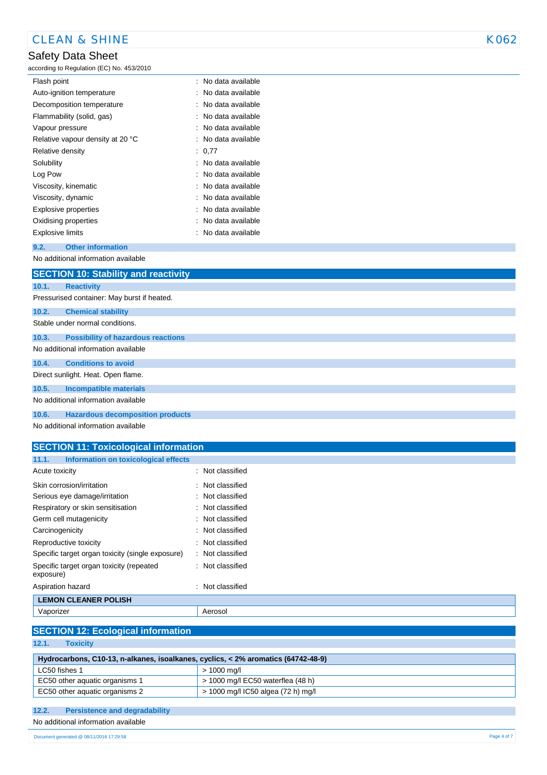# Safety Data Sheet

according to Regulation (EC) No. 453/2010

| : No data available |
|---------------------|
|                     |
| : No data available |
| : No data available |
| : No data available |
| : No data available |
| : No data available |
| : 0.77              |
| : No data available |
| : No data available |
| : No data available |
| : No data available |
| : No data available |
| : No data available |
| : No data available |
|                     |

#### **9.2. Other information**

No additional information available

|       | <b>SECTION 10: Stability and reactivity</b> |
|-------|---------------------------------------------|
| 10.1. | <b>Reactivity</b>                           |
|       | Pressurised container: May burst if heated. |
| 10.2. | <b>Chemical stability</b>                   |
|       | Stable under normal conditions.             |
| 10.3. | <b>Possibility of hazardous reactions</b>   |
|       | No additional information available         |
| 10.4. | <b>Conditions to avoid</b>                  |
|       | Direct sunlight. Heat. Open flame.          |
| 10.5. | <b>Incompatible materials</b>               |
|       | No additional information available         |
| 10.6. | <b>Hazardous decomposition products</b>     |

No additional information available

| <b>SECTION 11: Toxicological information</b>          |                             |
|-------------------------------------------------------|-----------------------------|
| Information on toxicological effects<br>11.1.         |                             |
| Acute toxicity                                        | : Not classified            |
| Skin corrosion/irritation                             | : Not classified            |
| Serious eye damage/irritation                         | : Not classified            |
| Respiratory or skin sensitisation                     | : Not classified            |
| Germ cell mutagenicity                                | : Not classified            |
| Carcinogenicity                                       | $\therefore$ Not classified |
| Reproductive toxicity                                 | : Not classified            |
| Specific target organ toxicity (single exposure)      | : Not classified            |
| Specific target organ toxicity (repeated<br>exposure) | : Not classified            |
| Aspiration hazard                                     | Not classified              |

## **LEMON CLEANER POLISH** Vaporizer **Access** Aerosol

|  |  |  |  |  |  |  | <b>SECTION 12: Ecological information</b> |  |  |  |
|--|--|--|--|--|--|--|-------------------------------------------|--|--|--|
|--|--|--|--|--|--|--|-------------------------------------------|--|--|--|

**12.1. Toxicity**

| Hydrocarbons, C10-13, n-alkanes, isoalkanes, cyclics, < 2% aromatics (64742-48-9) |                                     |  |  |  |
|-----------------------------------------------------------------------------------|-------------------------------------|--|--|--|
| LC50 fishes 1                                                                     | > 1000 ma/l                         |  |  |  |
| EC50 other aquatic organisms 1                                                    | $>$ 1000 mg/l EC50 waterflea (48 h) |  |  |  |
| EC50 other aquatic organisms 2                                                    | > 1000 mg/l IC50 algea (72 h) mg/l  |  |  |  |

#### **12.2. Persistence and degradability**

No additional information available

08/06/2015 EN (English) 4/7 Document generated @ 08/11/2016 17:29:58 Page 4 of 7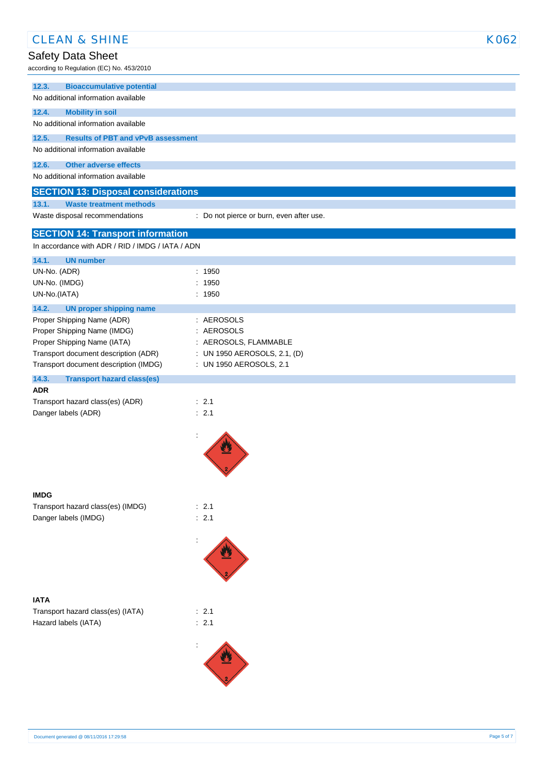| <b>CLEAN &amp; SHINE</b>                                                                     |                                                       | K062 |
|----------------------------------------------------------------------------------------------|-------------------------------------------------------|------|
| Safety Data Sheet                                                                            |                                                       |      |
| according to Regulation (EC) No. 453/2010                                                    |                                                       |      |
| 12.3.<br><b>Bioaccumulative potential</b>                                                    |                                                       |      |
| No additional information available                                                          |                                                       |      |
| 12.4.<br><b>Mobility in soil</b>                                                             |                                                       |      |
| No additional information available                                                          |                                                       |      |
| 12.5.<br><b>Results of PBT and vPvB assessment</b><br>No additional information available    |                                                       |      |
|                                                                                              |                                                       |      |
| 12.6.<br><b>Other adverse effects</b><br>No additional information available                 |                                                       |      |
|                                                                                              |                                                       |      |
| <b>SECTION 13: Disposal considerations</b><br>13.1.<br><b>Waste treatment methods</b>        |                                                       |      |
| Waste disposal recommendations                                                               | : Do not pierce or burn, even after use.              |      |
|                                                                                              |                                                       |      |
| <b>SECTION 14: Transport information</b><br>In accordance with ADR / RID / IMDG / IATA / ADN |                                                       |      |
|                                                                                              |                                                       |      |
| 14.1.<br><b>UN number</b><br>UN-No. (ADR)                                                    | : 1950                                                |      |
| UN-No. (IMDG)                                                                                | : 1950                                                |      |
| UN-No.(IATA)                                                                                 | : 1950                                                |      |
| 14.2.<br><b>UN proper shipping name</b>                                                      |                                                       |      |
| Proper Shipping Name (ADR)                                                                   | : AEROSOLS                                            |      |
| Proper Shipping Name (IMDG)                                                                  | : AEROSOLS                                            |      |
| Proper Shipping Name (IATA)<br>Transport document description (ADR)                          | : AEROSOLS, FLAMMABLE<br>: UN 1950 AEROSOLS, 2.1, (D) |      |
| Transport document description (IMDG)                                                        | : UN 1950 AEROSOLS, 2.1                               |      |
| 14.3.<br><b>Transport hazard class(es)</b>                                                   |                                                       |      |
| <b>ADR</b>                                                                                   |                                                       |      |
| Transport hazard class(es) (ADR)                                                             | : 2.1                                                 |      |
| Danger labels (ADR)                                                                          | : 2.1                                                 |      |
|                                                                                              | ÷                                                     |      |
|                                                                                              | <b>ALL</b>                                            |      |
|                                                                                              |                                                       |      |
|                                                                                              |                                                       |      |
|                                                                                              |                                                       |      |
| <b>IMDG</b>                                                                                  |                                                       |      |
| Transport hazard class(es) (IMDG)<br>Danger labels (IMDG)                                    | : 2.1<br>: 2.1                                        |      |
|                                                                                              |                                                       |      |
|                                                                                              |                                                       |      |
|                                                                                              |                                                       |      |
|                                                                                              |                                                       |      |
|                                                                                              |                                                       |      |
| <b>IATA</b>                                                                                  |                                                       |      |
| Transport hazard class(es) (IATA)                                                            | : 2.1                                                 |      |
| Hazard labels (IATA)                                                                         | : 2.1                                                 |      |
|                                                                                              |                                                       |      |
|                                                                                              |                                                       |      |
|                                                                                              |                                                       |      |
|                                                                                              |                                                       |      |
|                                                                                              |                                                       |      |
|                                                                                              |                                                       |      |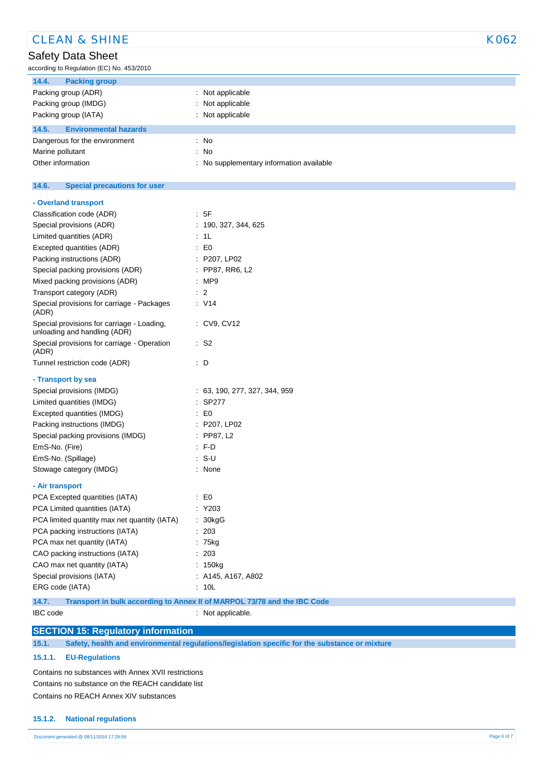| <b>CLEAN &amp; SHINE</b>                                                          |                                          | K062 |
|-----------------------------------------------------------------------------------|------------------------------------------|------|
| Safety Data Sheet                                                                 |                                          |      |
| according to Regulation (EC) No. 453/2010                                         |                                          |      |
| 14.4.<br><b>Packing group</b>                                                     |                                          |      |
| Packing group (ADR)                                                               | : Not applicable                         |      |
| Packing group (IMDG)                                                              | : Not applicable                         |      |
| Packing group (IATA)                                                              | : Not applicable                         |      |
| 14.5.<br><b>Environmental hazards</b>                                             |                                          |      |
| Dangerous for the environment                                                     | $\therefore$ No                          |      |
| Marine pollutant                                                                  | : No                                     |      |
| Other information                                                                 | : No supplementary information available |      |
|                                                                                   |                                          |      |
| 14.6.<br><b>Special precautions for user</b>                                      |                                          |      |
| - Overland transport                                                              |                                          |      |
| Classification code (ADR)                                                         | : 5F                                     |      |
| Special provisions (ADR)                                                          | : 190, 327, 344, 625                     |      |
| Limited quantities (ADR)                                                          | : 1L                                     |      |
| Excepted quantities (ADR)                                                         | $\pm 50$                                 |      |
| Packing instructions (ADR)                                                        | : P207, LP02                             |      |
| Special packing provisions (ADR)                                                  | : PP87, RR6, L2                          |      |
| Mixed packing provisions (ADR)                                                    | : MP9                                    |      |
| Transport category (ADR)                                                          | $\therefore$ 2                           |      |
| Special provisions for carriage - Packages<br>(ADR)                               | $\therefore$ V14                         |      |
| Special provisions for carriage - Loading,<br>unloading and handling (ADR)        | : CV9, CV12                              |      |
| Special provisions for carriage - Operation<br>(ADR)                              | $\cdot$ S2                               |      |
| Tunnel restriction code (ADR)                                                     | $\therefore$ D                           |      |
| - Transport by sea                                                                |                                          |      |
| Special provisions (IMDG)                                                         | : 63, 190, 277, 327, 344, 959            |      |
| Limited quantities (IMDG)                                                         | $:$ SP277                                |      |
| Excepted quantities (IMDG)                                                        | $\cdot$ EO                               |      |
| Packing instructions (IMDG)                                                       | : P207, LP02                             |      |
| Special packing provisions (IMDG)                                                 | : PP87, L2                               |      |
| EmS-No. (Fire)                                                                    | $: F-D$                                  |      |
| EmS-No. (Spillage)                                                                | : S-U                                    |      |
| Stowage category (IMDG)                                                           | : None                                   |      |
| - Air transport                                                                   |                                          |      |
| PCA Excepted quantities (IATA)                                                    | $\therefore$ EO                          |      |
| PCA Limited quantities (IATA)                                                     | $:$ Y203                                 |      |
| PCA limited quantity max net quantity (IATA)                                      | : 30kgG                                  |      |
| PCA packing instructions (IATA)                                                   | : 203                                    |      |
| PCA max net quantity (IATA)                                                       | : 75kg                                   |      |
| CAO packing instructions (IATA)                                                   | : 203                                    |      |
| CAO max net quantity (IATA)                                                       | : 150kg                                  |      |
| Special provisions (IATA)                                                         | $:$ A145, A167, A802                     |      |
| ERG code (IATA)                                                                   | : 10L                                    |      |
| 14.7.<br>Transport in bulk according to Annex II of MARPOL 73/78 and the IBC Code |                                          |      |
| IBC code                                                                          | : Not applicable.                        |      |
|                                                                                   |                                          |      |

| <b>SECTION 15: Regulatory information</b> |  |
|-------------------------------------------|--|
|                                           |  |

**15.1. Safety, health and environmental regulations/legislation specific for the substance or mixture**

#### **15.1.1. EU-Regulations**

Contains no substances with Annex XVII restrictions Contains no substance on the REACH candidate list Contains no REACH Annex XIV substances

#### **15.1.2. National regulations**